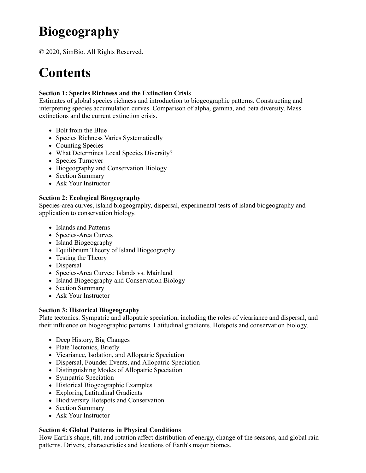# **Biogeography**

© 2020, SimBio. All Rights Reserved.

## **Contents**

#### **Section 1: Species Richness and the Extinction Crisis**

Estimates of global species richness and introduction to biogeographic patterns. Constructing and interpreting species accumulation curves. Comparison of alpha, gamma, and beta diversity. Mass extinctions and the current extinction crisis.

- Bolt from the Blue
- Species Richness Varies Systematically
- Counting Species
- What Determines Local Species Diversity?
- Species Turnover
- Biogeography and Conservation Biology
- Section Summary
- Ask Your Instructor

#### **Section 2: Ecological Biogeography**

Species-area curves, island biogeography, dispersal, experimental tests of island biogeography and application to conservation biology.

- Islands and Patterns
- Species-Area Curves
- Island Biogeography
- Equilibrium Theory of Island Biogeography
- Testing the Theory
- Dispersal
- Species-Area Curves: Islands vs. Mainland
- Island Biogeography and Conservation Biology
- Section Summary
- Ask Your Instructor

#### **Section 3: Historical Biogeography**

Plate tectonics. Sympatric and allopatric speciation, including the roles of vicariance and dispersal, and their influence on biogeographic patterns. Latitudinal gradients. Hotspots and conservation biology.

- Deep History, Big Changes
- Plate Tectonics, Briefly
- Vicariance, Isolation, and Allopatric Speciation
- Dispersal, Founder Events, and Allopatric Speciation
- Distinguishing Modes of Allopatric Speciation
- Sympatric Speciation
- Historical Biogeographic Examples
- Exploring Latitudinal Gradients
- Biodiversity Hotspots and Conservation
- Section Summary
- Ask Your Instructor

### **Section 4: Global Patterns in Physical Conditions**

How Earth's shape, tilt, and rotation affect distribution of energy, change of the seasons, and global rain patterns. Drivers, characteristics and locations of Earth's major biomes.